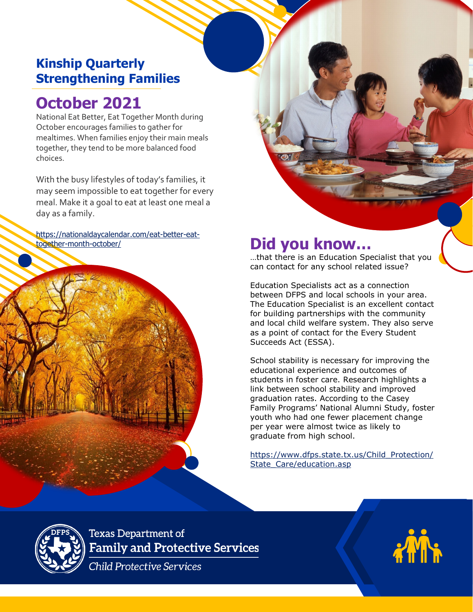## **Kinship Quarterly Strengthening Families**

## **October 2021**

National Eat Better, Eat Together Month during October encourages families to gather for mealtimes. When families enjoy their main meals together, they tend to be more balanced food choices.

With the busy lifestyles of today's families, it may seem impossible to eat together for every meal. Make it a goal to eat at least one meal a day as a family.

https://nationaldaycalendar.com/eat-better-eat-<br>together-month-october/



…that there is an Education Specialist that you can contact for any school related issue?

**PARENT TEACHERS** 

**ASSOCIATION 20XX**

Education Specialists act as a connection between DFPS and local schools in your area. The Education Specialist is an excellent contact for building partnerships with the community and local child welfare system. They also serve as a point of contact for the Every Student Succeeds Act (ESSA).

School stability is necessary for improving the educational experience and outcomes of students in foster care. Research highlights a link between school stability and improved graduation rates. According to the Casey Family Programs' National Alumni Study, foster youth who had one fewer placement change per year were almost twice as likely to graduate from high school.

[https://www.dfps.state.tx.us/Child\\_Protection/](https://www.dfps.state.tx.us/Child_Protection/State_Care/education.asp) [State\\_Care/education.asp](https://www.dfps.state.tx.us/Child_Protection/State_Care/education.asp)



**Texas Department of Family and Protective Services** 

**Child Protective Services**